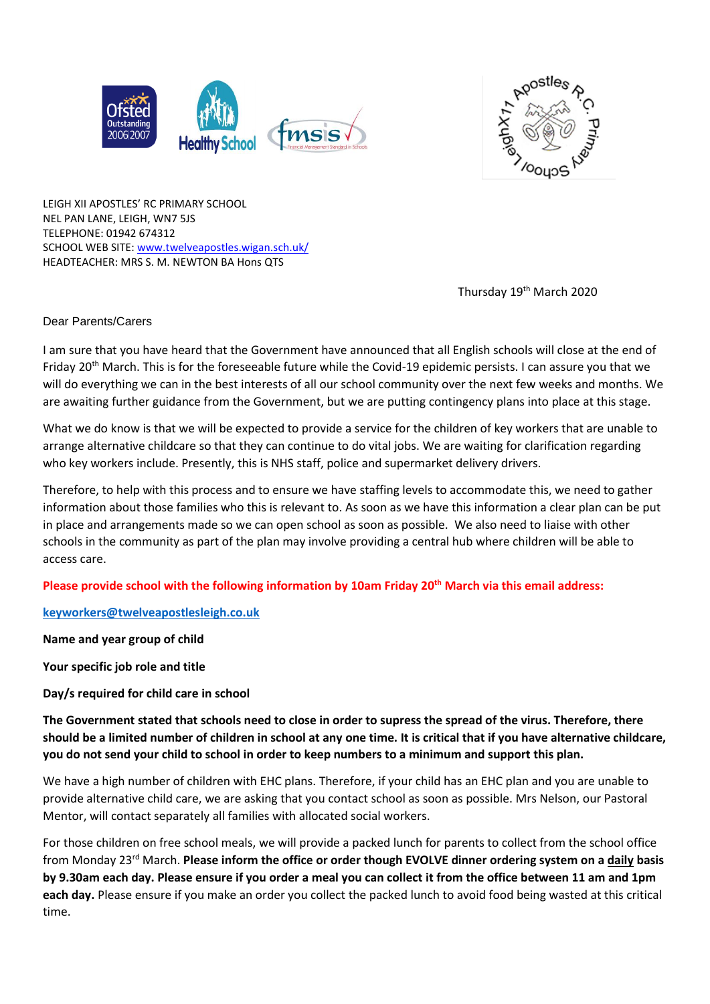



LEIGH XII APOSTLES' RC PRIMARY SCHOOL NEL PAN LANE, LEIGH, WN7 5JS TELEPHONE: 01942 674312 SCHOOL WEB SITE: [www.twelveapostles.wigan.sch.uk/](http://www.twelveapostles.wigan.sch.uk/) HEADTEACHER: MRS S. M. NEWTON BA Hons QTS

Thursday 19<sup>th</sup> March 2020

## Dear Parents/Carers

I am sure that you have heard that the Government have announced that all English schools will close at the end of Friday 20<sup>th</sup> March. This is for the foreseeable future while the Covid-19 epidemic persists. I can assure you that we will do everything we can in the best interests of all our school community over the next few weeks and months. We are awaiting further guidance from the Government, but we are putting contingency plans into place at this stage.

What we do know is that we will be expected to provide a service for the children of key workers that are unable to arrange alternative childcare so that they can continue to do vital jobs. We are waiting for clarification regarding who key workers include. Presently, this is NHS staff, police and supermarket delivery drivers.

Therefore, to help with this process and to ensure we have staffing levels to accommodate this, we need to gather information about those families who this is relevant to. As soon as we have this information a clear plan can be put in place and arrangements made so we can open school as soon as possible. We also need to liaise with other schools in the community as part of the plan may involve providing a central hub where children will be able to access care.

**Please provide school with the following information by 10am Friday 20th March via this email address:**

**[keyworkers@twelveapostlesleigh.co.uk](mailto:keyworkers@twelveapostlesleigh.co.uk)**

**Name and year group of child**

**Your specific job role and title**

**Day/s required for child care in school**

**The Government stated that schools need to close in order to supress the spread of the virus. Therefore, there should be a limited number of children in school at any one time. It is critical that if you have alternative childcare, you do not send your child to school in order to keep numbers to a minimum and support this plan.**

We have a high number of children with EHC plans. Therefore, if your child has an EHC plan and you are unable to provide alternative child care, we are asking that you contact school as soon as possible. Mrs Nelson, our Pastoral Mentor, will contact separately all families with allocated social workers.

For those children on free school meals, we will provide a packed lunch for parents to collect from the school office from Monday 23rd March. **Please inform the office or order though EVOLVE dinner ordering system on a daily basis by 9.30am each day. Please ensure if you order a meal you can collect it from the office between 11 am and 1pm each day.** Please ensure if you make an order you collect the packed lunch to avoid food being wasted at this critical time.